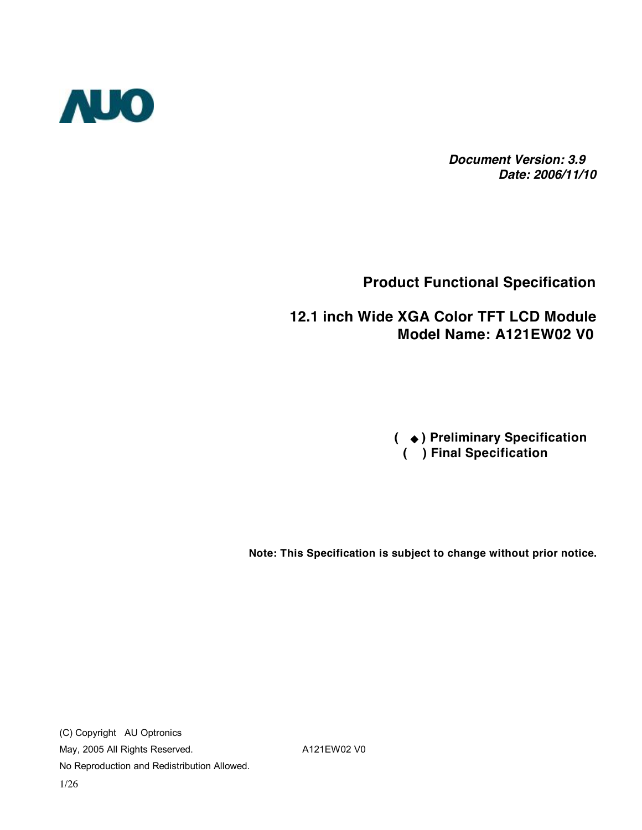

 *Document Version: 3.9 Date: 2006/11/10*

#### **Product Functional Specification**

#### **12.1 inch Wide XGA Color TFT LCD Module Model Name: A121EW02 V0**

 **(** ◆ **) Preliminary Specification ( ) Final Specification**

**Note: This Specification is subject to change without prior notice.**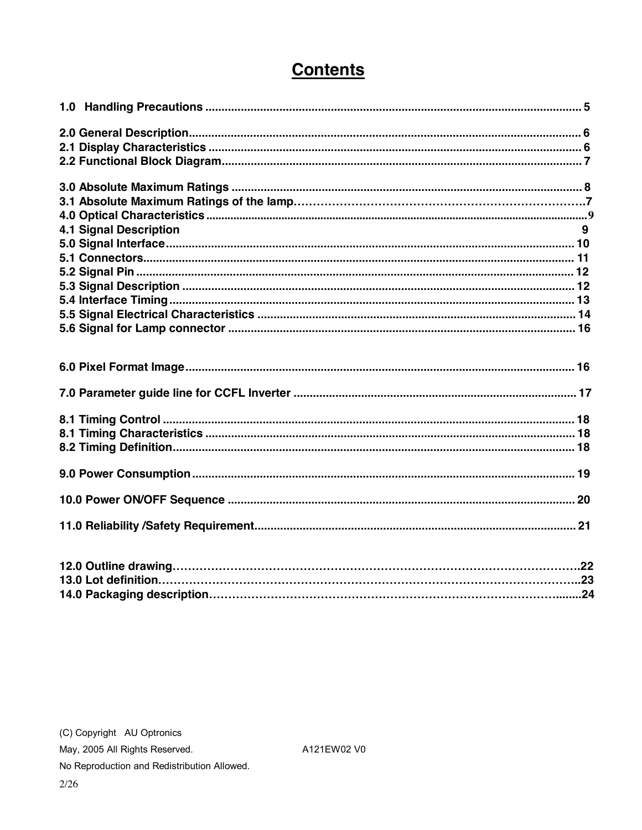## **Contents**

| <b>4.1 Signal Description</b> | 9 |
|-------------------------------|---|
|                               |   |
|                               |   |
|                               |   |
|                               |   |
|                               |   |
|                               |   |
|                               |   |
|                               |   |
|                               |   |
|                               |   |
|                               |   |
|                               |   |
|                               |   |
|                               |   |
|                               |   |
|                               |   |
|                               |   |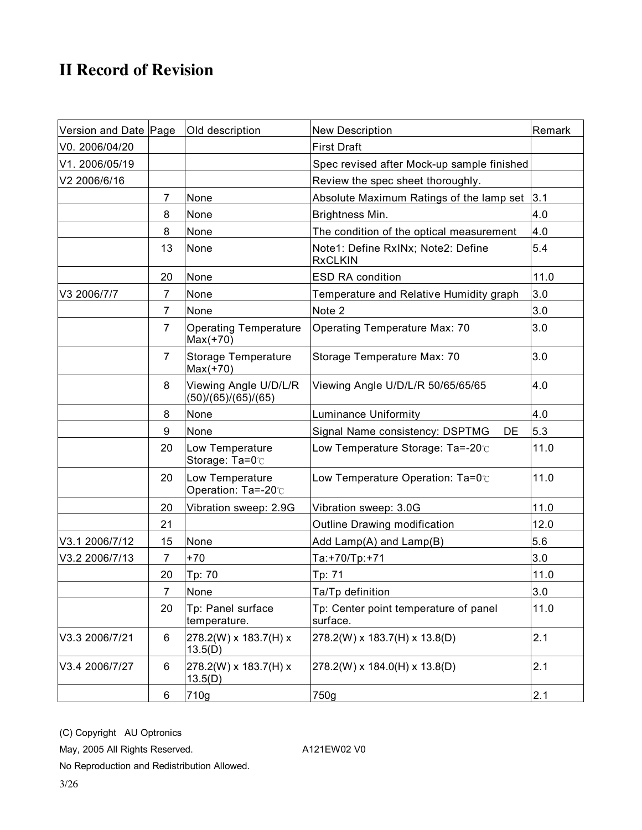### **II Record of Revision**

| Version and Date Page |                | Old description                              | <b>New Description</b>                               | Remark |
|-----------------------|----------------|----------------------------------------------|------------------------------------------------------|--------|
| V0. 2006/04/20        |                |                                              | <b>First Draft</b>                                   |        |
| V1. 2006/05/19        |                |                                              | Spec revised after Mock-up sample finished           |        |
| V2 2006/6/16          |                |                                              | Review the spec sheet thoroughly.                    |        |
|                       | 7              | None                                         | Absolute Maximum Ratings of the lamp set             | 3.1    |
|                       | 8              | None                                         | Brightness Min.                                      | 4.0    |
|                       | 8              | None                                         | The condition of the optical measurement             | 4.0    |
|                       | 13             | None                                         | Note1: Define RxINx; Note2: Define<br><b>RxCLKIN</b> | 5.4    |
|                       | 20             | None                                         | <b>ESD RA condition</b>                              | 11.0   |
| V3 2006/7/7           | $\overline{7}$ | None                                         | Temperature and Relative Humidity graph              | 3.0    |
|                       | 7              | None                                         | Note 2                                               | 3.0    |
|                       | $\overline{7}$ | <b>Operating Temperature</b><br>$Max(+70)$   | Operating Temperature Max: 70                        | 3.0    |
|                       | $\overline{7}$ | Storage Temperature<br>$Max(+70)$            | Storage Temperature Max: 70                          | 3.0    |
|                       | 8              | Viewing Angle U/D/L/R<br>(50)/(65)/(65)/(65) | Viewing Angle U/D/L/R 50/65/65/65                    | 4.0    |
|                       | 8              | None                                         | <b>Luminance Uniformity</b>                          | 4.0    |
|                       | 9              | None                                         | Signal Name consistency: DSPTMG<br>DE                | 5.3    |
|                       | 20             | Low Temperature<br>Storage: Ta=0 $\degree$   | Low Temperature Storage: Ta=-20°C                    | 11.0   |
|                       | 20             | Low Temperature<br>Operation: Ta=-20℃        | Low Temperature Operation: Ta=0°C                    | 11.0   |
|                       | 20             | Vibration sweep: 2.9G                        | Vibration sweep: 3.0G                                | 11.0   |
|                       | 21             |                                              | Outline Drawing modification                         | 12.0   |
| V3.1 2006/7/12        | 15             | None                                         | Add Lamp(A) and Lamp(B)                              | 5.6    |
| V3.2 2006/7/13        | $\overline{7}$ | $+70$                                        | Ta:+70/Tp:+71                                        | 3.0    |
|                       | 20             | Tp: 70                                       | Tp: 71                                               | 11.0   |
|                       | 7              | None                                         | Ta/Tp definition                                     | 3.0    |
|                       | 20             | Tp: Panel surface<br>temperature.            | Tp: Center point temperature of panel<br>surface.    | 11.0   |
| V3.3 2006/7/21        | 6              | 278.2(W) x 183.7(H) x<br>13.5(D)             | 278.2(W) x 183.7(H) x 13.8(D)                        | 2.1    |
| V3.4 2006/7/27        | 6              | 278.2(W) x 183.7(H) x<br>13.5(D)             | 278.2(W) x 184.0(H) x 13.8(D)                        | 2.1    |
|                       | 6              | 710g                                         | 750g                                                 | 2.1    |

(C) Copyright AU Optronics

May, 2005 All Rights Reserved. A121EW02 V0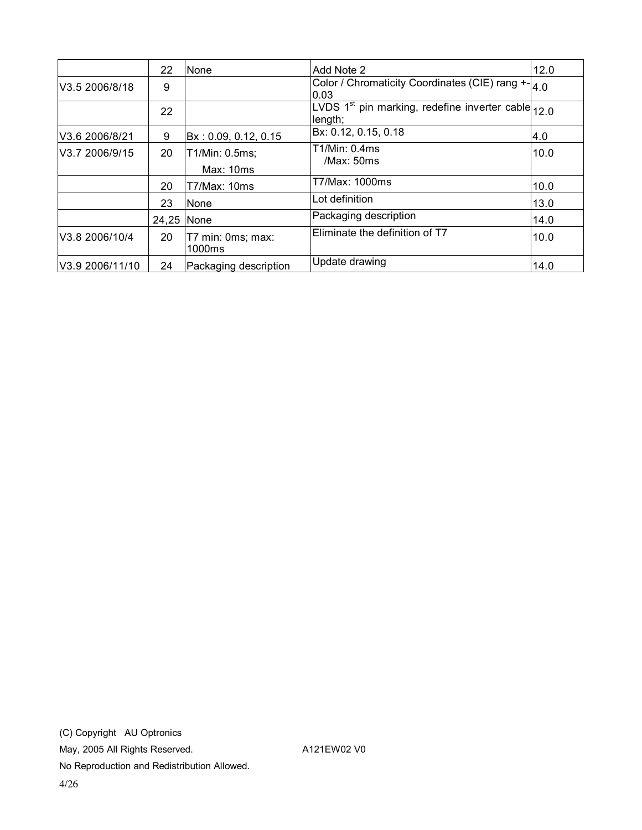|                 | 22    | None                        | Add Note 2                                                                  | 12.0 |
|-----------------|-------|-----------------------------|-----------------------------------------------------------------------------|------|
| V3.5 2006/8/18  | 9     |                             | Color / Chromaticity Coordinates (CIE) rang +- 4.0<br>10.03                 |      |
|                 | 22    |                             | LVDS 1 <sup>st</sup> pin marking, redefine inverter cable $12.0$<br>length; |      |
| V3.6 2006/8/21  | 9     | Bx: 0.09, 0.12, 0.15        | Bx: 0.12, 0.15, 0.18                                                        | 4.0  |
| V3.7 2006/9/15  | 20    | T1/Min: 0.5ms;<br>Max: 10ms | T1/Min: 0.4ms<br>/Max:50ms                                                  | 10.0 |
|                 | 20    | T7/Max: 10ms                | T7/Max: 1000ms                                                              | 10.0 |
|                 | 23    | None                        | Lot definition                                                              | 13.0 |
|                 | 24,25 | <b>None</b>                 | Packaging description                                                       | 14.0 |
| V3.8 2006/10/4  | 20    | T7 min: 0ms; max:<br>1000ms | Eliminate the definition of T7                                              | 10.0 |
| V3.9 2006/11/10 | 24    | Packaging description       | Update drawing                                                              | 14.0 |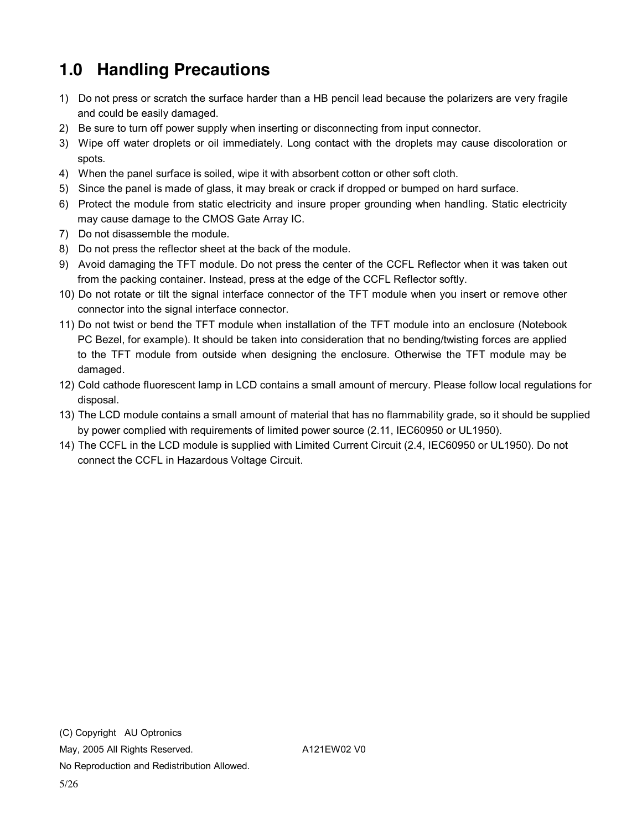# **1.0 Handling Precautions**

- 1) Do not press or scratch the surface harder than a HB pencil lead because the polarizers are very fragile and could be easily damaged.
- 2) Be sure to turn off power supply when inserting or disconnecting from input connector.
- 3) Wipe off water droplets or oil immediately. Long contact with the droplets may cause discoloration or spots.
- 4) When the panel surface is soiled, wipe it with absorbent cotton or other soft cloth.
- 5) Since the panel is made of glass, it may break or crack if dropped or bumped on hard surface.
- 6) Protect the module from static electricity and insure proper grounding when handling. Static electricity may cause damage to the CMOS Gate Array IC.
- 7) Do not disassemble the module.
- 8) Do not press the reflector sheet at the back of the module.
- 9) Avoid damaging the TFT module. Do not press the center of the CCFL Reflector when it was taken out from the packing container. Instead, press at the edge of the CCFL Reflector softly.
- 10) Do not rotate or tilt the signal interface connector of the TFT module when you insert or remove other connector into the signal interface connector.
- 11) Do not twist or bend the TFT module when installation of the TFT module into an enclosure (Notebook PC Bezel, for example). It should be taken into consideration that no bending/twisting forces are applied to the TFT module from outside when designing the enclosure. Otherwise the TFT module may be damaged.
- 12) Cold cathode fluorescent lamp in LCD contains a small amount of mercury. Please follow local regulations for disposal.
- 13) The LCD module contains a small amount of material that has no flammability grade, so it should be supplied by power complied with requirements of limited power source (2.11, IEC60950 or UL1950).
- 14) The CCFL in the LCD module is supplied with Limited Current Circuit (2.4, IEC60950 or UL1950). Do not connect the CCFL in Hazardous Voltage Circuit.

5/26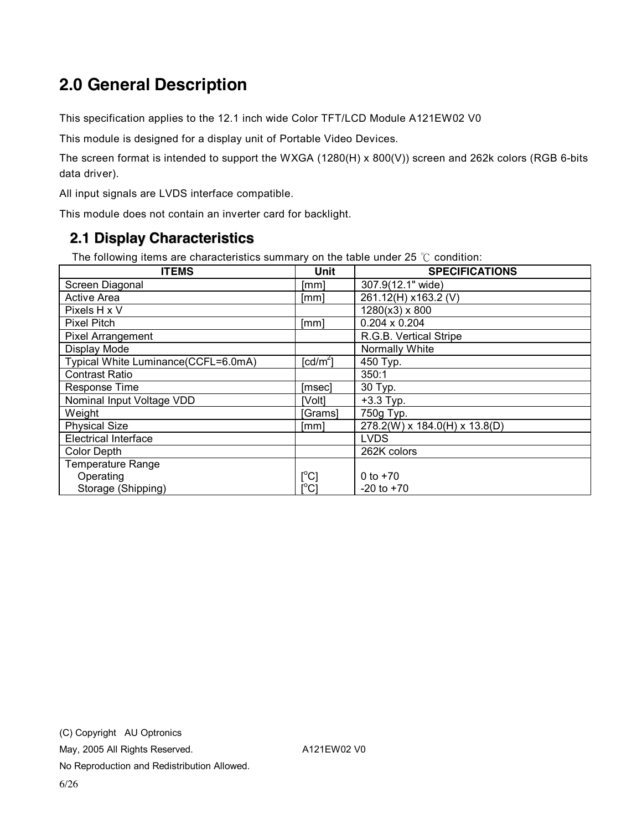# **2.0 General Description**

This specification applies to the 12.1 inch wide Color TFT/LCD Module A121EW02 V0

This module is designed for a display unit of Portable Video Devices.

The screen format is intended to support the WXGA (1280(H) x 800(V)) screen and 262k colors (RGB 6-bits data driver).

All input signals are LVDS interface compatible.

This module does not contain an inverter card for backlight.

#### **2.1 Display Characteristics**

The following items are characteristics summary on the table under 25 ℃ condition:

| <b>ITEMS</b>                        | Unit                | <b>SPECIFICATIONS</b>         |
|-------------------------------------|---------------------|-------------------------------|
| Screen Diagonal                     | [mm]                | 307.9(12.1" wide)             |
| <b>Active Area</b>                  | [mm]                | 261.12(H) x163.2 (V)          |
| Pixels H x V                        |                     | $1280(x3) \times 800$         |
| <b>Pixel Pitch</b>                  | [mm]                | $0.204 \times 0.204$          |
| <b>Pixel Arrangement</b>            |                     | R.G.B. Vertical Stripe        |
| Display Mode                        |                     | Normally White                |
| Typical White Luminance(CCFL=6.0mA) | $[cd/m^2]$          | 450 Typ.                      |
| <b>Contrast Ratio</b>               |                     | 350:1                         |
| <b>Response Time</b>                | [msec]              | 30 Typ.                       |
| Nominal Input Voltage VDD           | [Volt]              | $+3.3$ Typ.                   |
| Weight                              | [Grams]             | 750g Typ.                     |
| <b>Physical Size</b>                | [mm]                | 278.2(W) x 184.0(H) x 13.8(D) |
| <b>Electrical Interface</b>         |                     | <b>LVDS</b>                   |
| <b>Color Depth</b>                  |                     | 262K colors                   |
| <b>Temperature Range</b>            |                     |                               |
| Operating                           | $[^\circ \text{C}]$ | 0 to $+70$                    |
| Storage (Shipping)                  | [°C]                | $-20$ to $+70$                |

6/26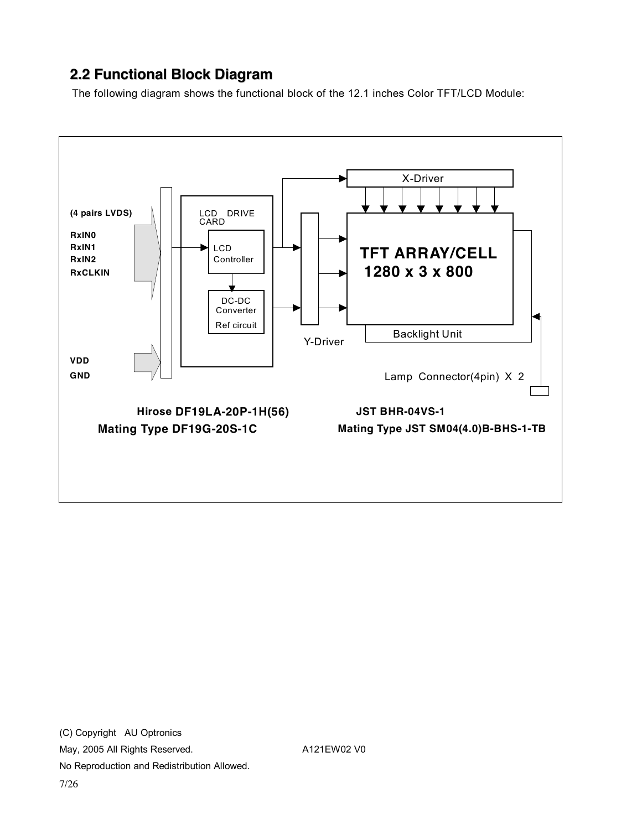### **2.2 Functional Block Diagram**

The following diagram shows the functional block of the 12.1 inches Color TFT/LCD Module:

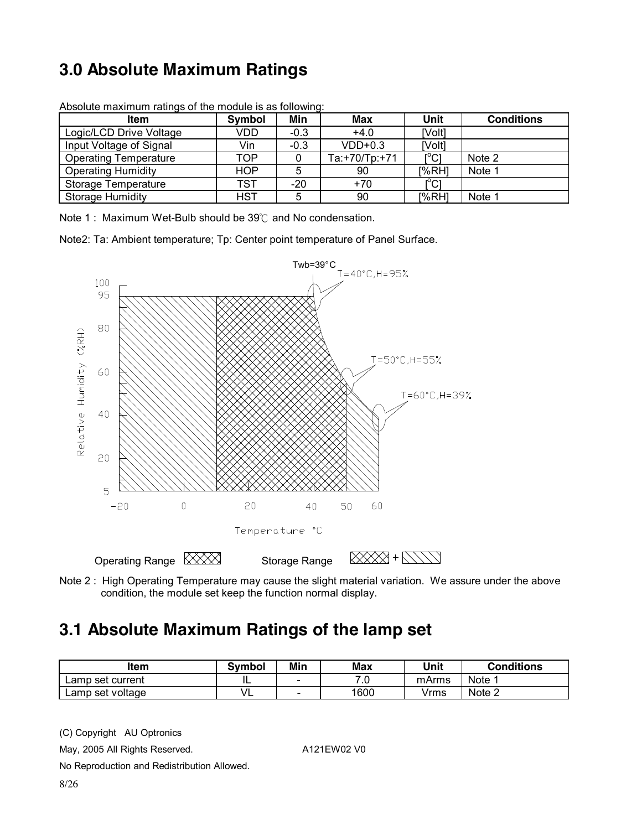# **3.0 Absolute Maximum Ratings**

| <b>Item</b>                  | Symbol     | Min    | Max           | Unit                | <b>Conditions</b> |
|------------------------------|------------|--------|---------------|---------------------|-------------------|
| Logic/LCD Drive Voltage      | VDD        | $-0.3$ | $+4.0$        | [Volt]              |                   |
| Input Voltage of Signal      | Vin        | $-0.3$ | $VDD+0.3$     | [Volt]              |                   |
| <b>Operating Temperature</b> | TOP        |        | Ta:+70/Tp:+71 | $\Gamma^{\circ}$ C1 | Note 2            |
| <b>Operating Humidity</b>    | HOP        |        | 90            | [%RH]               | Note 1            |
| Storage Temperature          | TST        | $-20$  | $+70$         | $\mathsf{IC}1$      |                   |
| <b>Storage Humidity</b>      | <b>HST</b> |        | 90            | [%RH]               | Note 1            |

Absolute maximum ratings of the module is as following:

Note 1 : Maximum Wet-Bulb should be 39℃ and No condensation.

Note2: Ta: Ambient temperature; Tp: Center point temperature of Panel Surface.



Note 2 : High Operating Temperature may cause the slight material variation. We assure under the above condition, the module set keep the function normal display.

### **3.1 Absolute Maximum Ratings of the lamp set**

| Item             | <b>Symbol</b> | Min | Max  | Unit  | <b>Conditions</b> |
|------------------|---------------|-----|------|-------|-------------------|
| Lamp set current | - -           | -   | 7.0  | mArms | Note 1            |
| Lamp set voltage | VL            | -   | 1600 | ∨rms  | Note 2            |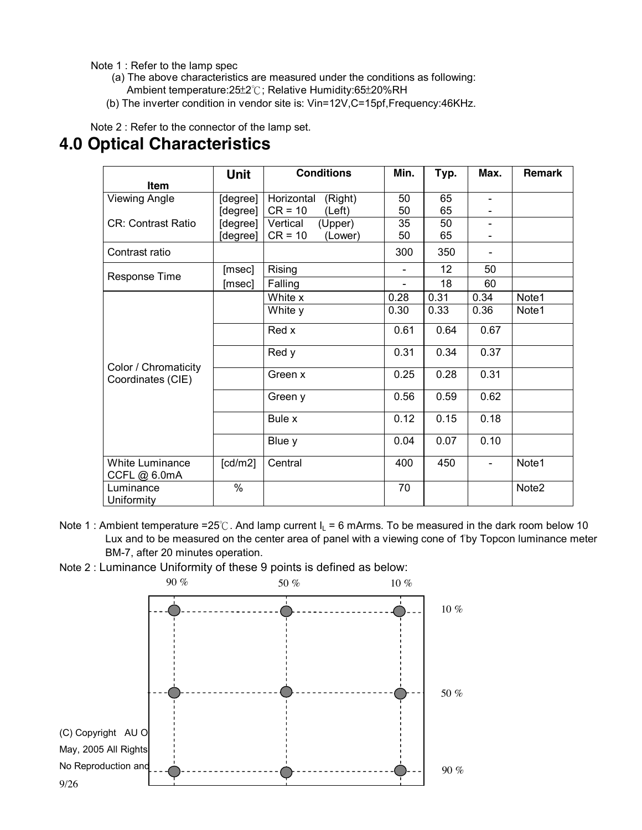Note 1 : Refer to the lamp spec

- (a) The above characteristics are measured under the conditions as following: Ambient temperature:25±2℃; Relative Humidity:65±20%RH
- (b) The inverter condition in vendor site is: Vin=12V,C=15pf,Frequency:46KHz.

#### Note 2 : Refer to the connector of the lamp set.

#### **4.0 Optical Characteristics**

|                                 | <b>Unit</b>           | <b>Conditions</b>                            | Min.                     | Typ.            | Max.           | <b>Remark</b> |
|---------------------------------|-----------------------|----------------------------------------------|--------------------------|-----------------|----------------|---------------|
| <b>Item</b>                     |                       |                                              |                          |                 |                |               |
| <b>Viewing Angle</b>            | [degree]<br>[degree]  | Horizontal<br>(Right)<br>$CR = 10$<br>(Left) | 50<br>50                 | 65<br>65        |                |               |
| <b>CR: Contrast Ratio</b>       | [degree]<br>[degree]  | Vertical<br>(Upper)<br>$CR = 10$<br>(Lower)  | 35<br>50                 | 50<br>65        |                |               |
| Contrast ratio                  |                       |                                              | 300                      | 350             |                |               |
|                                 | [msec]                | Rising                                       |                          | 12 <sup>2</sup> | 50             |               |
| Response Time                   | [msec]                | Falling                                      | $\overline{\phantom{a}}$ | 18              | 60             |               |
|                                 |                       | White x                                      | 0.28                     | 0.31            | 0.34           | Note1         |
|                                 |                       | White y                                      | 0.30                     | 0.33            | 0.36           | Note1         |
|                                 |                       | Red x                                        | 0.61                     | 0.64            | 0.67           |               |
| Color / Chromaticity            |                       | Red y                                        | 0.31                     | 0.34            | 0.37           |               |
| Coordinates (CIE)               |                       | Green x                                      | 0.25                     | 0.28            | 0.31           |               |
|                                 |                       | Green y                                      | 0.56                     | 0.59            | 0.62           |               |
|                                 |                       | Bule x                                       | 0.12                     | 0.15            | 0.18           |               |
|                                 |                       | Blue y                                       | 0.04                     | 0.07            | 0.10           |               |
| White Luminance<br>CCFL @ 6.0mA | $\lceil cd/m2 \rceil$ | Central                                      | 400                      | 450             | $\blacksquare$ | Note1         |
| Luminance<br>Uniformity         | $\%$                  |                                              | 70                       |                 |                | Note2         |

- Note 1 : Ambient temperature =25°C. And lamp current  $I_L$  = 6 mArms. To be measured in the dark room below 10 Lux and to be measured on the center area of panel with a viewing cone of 1°by Topcon luminance meter BM-7, after 20 minutes operation.
- Note 2 : Luminance Uniformity of these 9 points is defined as below:

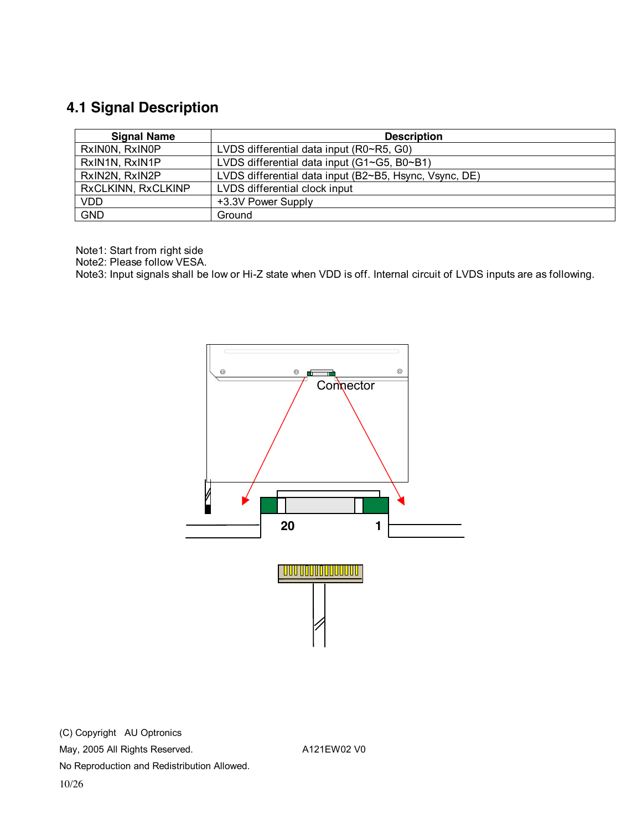### **4.1 Signal Description**

| <b>Signal Name</b> | <b>Description</b>                                     |
|--------------------|--------------------------------------------------------|
| RxINON, RxINOP     | LVDS differential data input (R0~R5, G0)               |
| RxIN1N, RxIN1P     | LVDS differential data input (G1~G5, B0~B1)            |
| RxIN2N, RxIN2P     | LVDS differential data input (B2~B5, Hsync, Vsync, DE) |
| RxCLKINN, RxCLKINP | LVDS differential clock input                          |
| <b>VDD</b>         | +3.3V Power Supply                                     |
| <b>GND</b>         | Ground                                                 |

Note1: Start from right side

Note2: Please follow VESA.

Note3: Input signals shall be low or Hi-Z state when VDD is off. Internal circuit of LVDS inputs are as following.

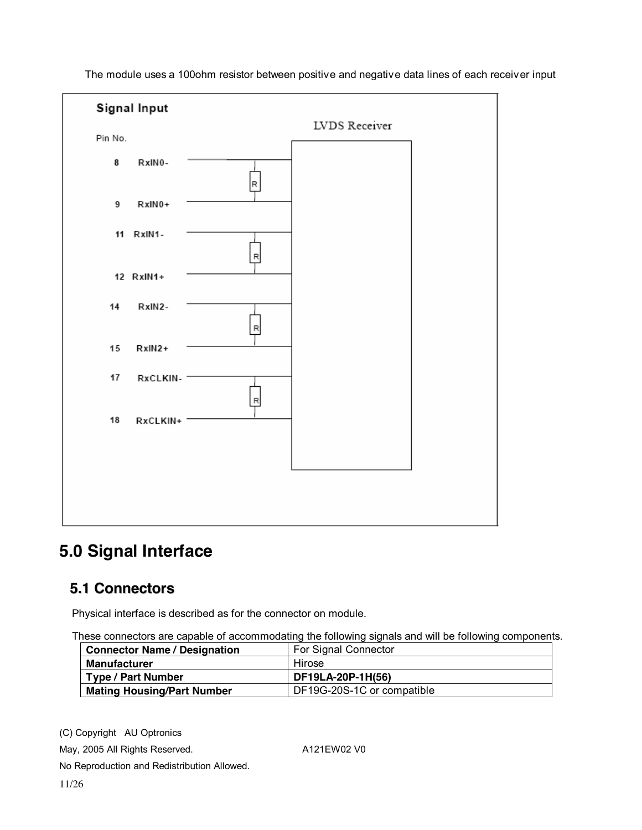

The module uses a 100ohm resistor between positive and negative data lines of each receiver input

### **5.0 Signal Interface**

#### **5.1 Connectors**

Physical interface is described as for the connector on module.

These connectors are capable of accommodating the following signals and will be following components.

| <b>Connector Name / Designation</b> | For Signal Connector       |  |  |
|-------------------------------------|----------------------------|--|--|
| <b>Manufacturer</b>                 | Hirose                     |  |  |
| <b>Type / Part Number</b>           | DF19LA-20P-1H(56)          |  |  |
| <b>Mating Housing/Part Number</b>   | DF19G-20S-1C or compatible |  |  |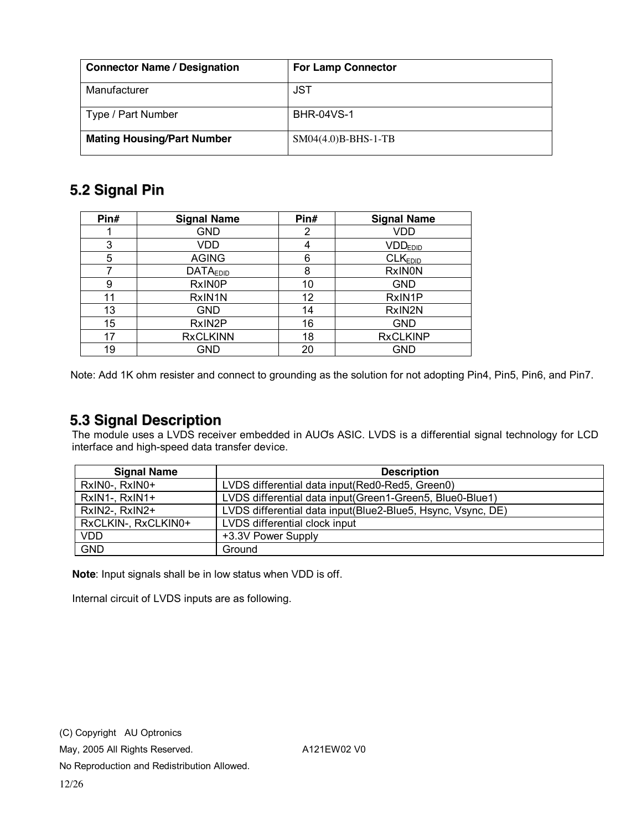| <b>Connector Name / Designation</b> | <b>For Lamp Connector</b> |
|-------------------------------------|---------------------------|
| Manufacturer                        | JST                       |
| Type / Part Number                  | <b>BHR-04VS-1</b>         |
| <b>Mating Housing/Part Number</b>   | $SM04(4.0)B-BHS-1-TB$     |

#### **5.2 Signal Pin**

| Pin# | <b>Signal Name</b> | Pin# | <b>Signal Name</b>  |
|------|--------------------|------|---------------------|
|      | <b>GND</b>         | 2    | <b>VDD</b>          |
| 3    | VDD                |      | VDD <sub>EDD</sub>  |
| 5    | <b>AGING</b>       | 6    | CLK <sub>EDID</sub> |
|      | <b>DATAEDID</b>    | 8    | <b>RxINON</b>       |
| 9    | <b>RxINOP</b>      | 10   | <b>GND</b>          |
| 11   | RxIN1N             | 12   | RxIN1P              |
| 13   | GND                | 14   | RxIN2N              |
| 15   | RxIN2P             | 16   | GND                 |
| 17   | <b>RxCLKINN</b>    | 18   | <b>RxCLKINP</b>     |
| 19   | GND                | 20   | GND                 |

Note: Add 1K ohm resister and connect to grounding as the solution for not adopting Pin4, Pin5, Pin6, and Pin7.

#### **5.3 Signal Description**

The module uses a LVDS receiver embedded in AUO's ASIC. LVDS is a differential signal technology for LCD interface and high-speed data transfer device.

| <b>Signal Name</b>  | <b>Description</b>                                          |
|---------------------|-------------------------------------------------------------|
| RxINO-, RxINO+      | LVDS differential data input (Red0-Red5, Green0)            |
| RxIN1-, RxIN1+      | LVDS differential data input (Green1-Green5, Blue0-Blue1)   |
| RxIN2-, RxIN2+      | LVDS differential data input(Blue2-Blue5, Hsync, Vsync, DE) |
| RxCLKIN-, RxCLKIN0+ | LVDS differential clock input                               |
| VDD                 | +3.3V Power Supply                                          |
| <b>GND</b>          | Ground                                                      |

**Note**: Input signals shall be in low status when VDD is off.

Internal circuit of LVDS inputs are as following.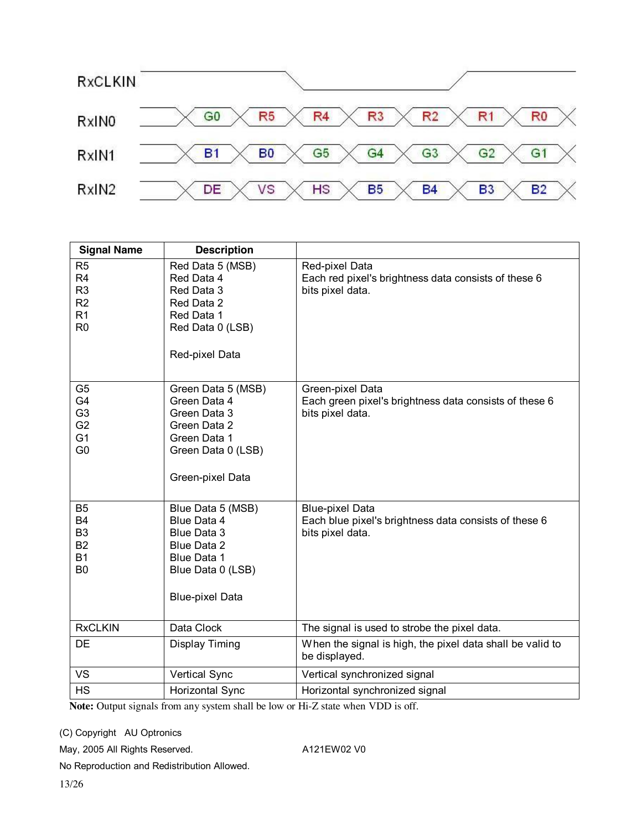

| <b>Signal Name</b>                                                                                       | <b>Description</b>                                                                                                           |                                                                                                     |
|----------------------------------------------------------------------------------------------------------|------------------------------------------------------------------------------------------------------------------------------|-----------------------------------------------------------------------------------------------------|
| R <sub>5</sub><br>R <sub>4</sub><br>R <sub>3</sub><br>R <sub>2</sub><br>R <sub>1</sub><br>R <sub>0</sub> | Red Data 5 (MSB)<br>Red Data 4<br>Red Data 3<br>Red Data 2<br>Red Data 1<br>Red Data 0 (LSB)<br>Red-pixel Data               | Red-pixel Data<br>Each red pixel's brightness data consists of these 6<br>bits pixel data.          |
| G <sub>5</sub><br>G4<br>G <sub>3</sub><br>G <sub>2</sub><br>G <sub>1</sub><br>G <sub>0</sub>             | Green Data 5 (MSB)<br>Green Data 4<br>Green Data 3<br>Green Data 2<br>Green Data 1<br>Green Data 0 (LSB)<br>Green-pixel Data | Green-pixel Data<br>Each green pixel's brightness data consists of these 6<br>bits pixel data.      |
| B <sub>5</sub><br><b>B4</b><br>B <sub>3</sub><br><b>B2</b><br><b>B1</b><br>B <sub>0</sub>                | Blue Data 5 (MSB)<br>Blue Data 4<br>Blue Data 3<br>Blue Data 2<br>Blue Data 1<br>Blue Data 0 (LSB)<br><b>Blue-pixel Data</b> | <b>Blue-pixel Data</b><br>Each blue pixel's brightness data consists of these 6<br>bits pixel data. |
| <b>RxCLKIN</b>                                                                                           | Data Clock                                                                                                                   | The signal is used to strobe the pixel data.                                                        |
| DE                                                                                                       | Display Timing                                                                                                               | When the signal is high, the pixel data shall be valid to<br>be displayed.                          |
| <b>VS</b>                                                                                                | Vertical Sync                                                                                                                | Vertical synchronized signal                                                                        |
| <b>HS</b>                                                                                                | Horizontal Sync                                                                                                              | Horizontal synchronized signal                                                                      |

Note: Output signals from any system shall be low or Hi-Z state when VDD is off.

(C) Copyright AU Optronics

May, 2005 All Rights Reserved. A121EW02 V0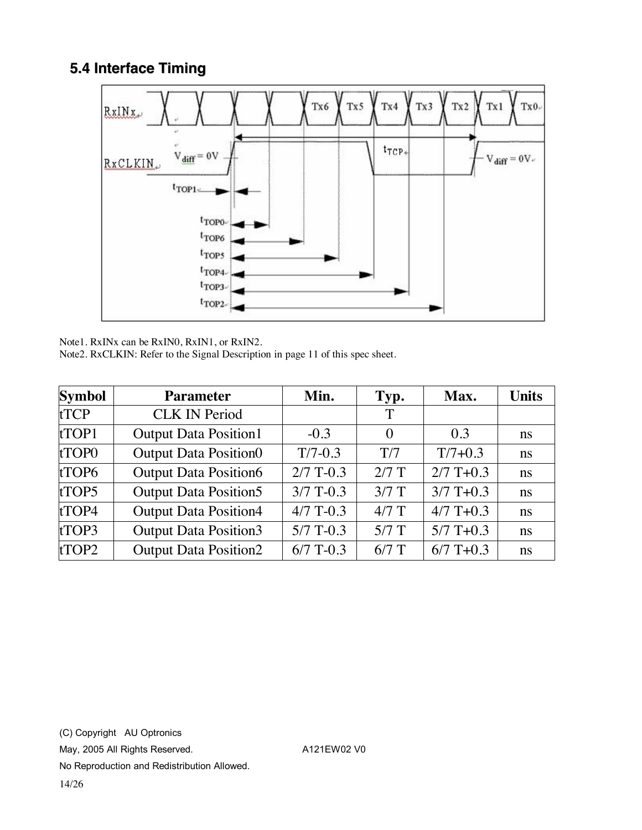#### **5.4 Interface Timing**



Note1. RxINx can be RxIN0, RxIN1, or RxIN2.

Note2. RxCLKIN: Refer to the Signal Description in page 11 of this spec sheet.

| <b>Symbol</b>     | <b>Parameter</b>             | Min.        | Typ.     | Max.        | <b>Units</b> |
|-------------------|------------------------------|-------------|----------|-------------|--------------|
| <b>tTCP</b>       | <b>CLK IN Period</b>         |             | T        |             |              |
| tTOP1             | <b>Output Data Position1</b> | $-0.3$      | $\theta$ | 0.3         | ns           |
| tTOP <sub>0</sub> | <b>Output Data Position0</b> | $T/7-0.3$   | T/7      | $T/7+0.3$   | ns           |
| tTOP6             | <b>Output Data Position6</b> | $2/7$ T-0.3 | $2/7$ T  | $2/7$ T+0.3 | ns           |
| tTOP5             | <b>Output Data Position5</b> | $3/7$ T-0.3 | $3/7$ T  | $3/7$ T+0.3 | ns           |
| tTOP4             | <b>Output Data Position4</b> | $4/7$ T-0.3 | $4/7$ T  | $4/7$ T+0.3 | ns           |
| tTOP3             | <b>Output Data Position3</b> | $5/7$ T-0.3 | $5/7$ T  | $5/7$ T+0.3 | ns           |
| tTOP2             | <b>Output Data Position2</b> | $6/7$ T-0.3 | $6/7$ T  | $6/7$ T+0.3 | ns           |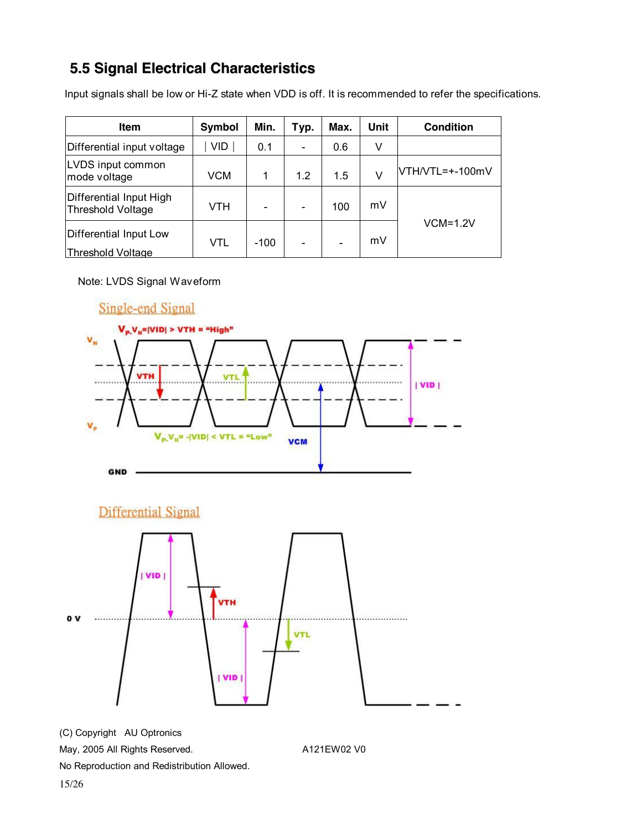### **5.5 Signal Electrical Characteristics**

Input signals shall be low or Hi-Z state when VDD is off. It is recommended to refer the specifications.

| <b>Item</b>                                        | Symbol     | Min.   | Typ. | Max. | Unit | <b>Condition</b> |
|----------------------------------------------------|------------|--------|------|------|------|------------------|
| Differential input voltage                         | VID.       | 0.1    |      | 0.6  | V    |                  |
| LVDS input common<br>mode voltage                  | <b>VCM</b> | 1      | 12   | 1.5  | V    | $VTH/NTL=+100mV$ |
| Differential Input High<br>Threshold Voltage       | VTH        |        |      | 100  | mV   |                  |
| Differential Input Low<br><b>Threshold Voltage</b> | VTL        | $-100$ |      |      | mV   | $VCM=1.2V$       |

#### Note: LVDS Signal Waveform



**Differential Signal** 

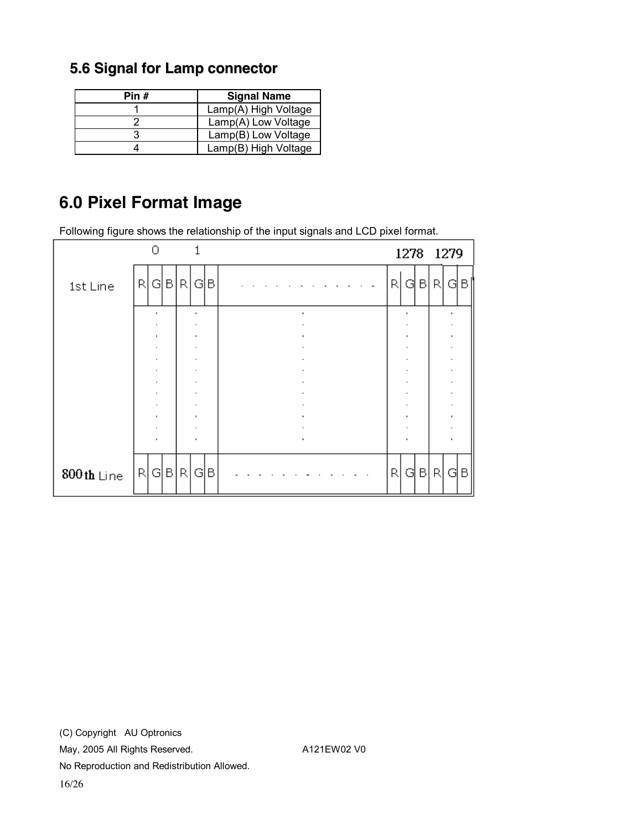| Pin $#$ | <b>Signal Name</b>   |
|---------|----------------------|
|         | Lamp(A) High Voltage |
|         | Lamp(A) Low Voltage  |
|         | Lamp(B) Low Voltage  |
|         | Lamp(B) High Voltage |

### **5.6 Signal for Lamp connector**

# **6.0 Pixel Format Image**

Following figure shows the relationship of the input signals and LCD pixel format.

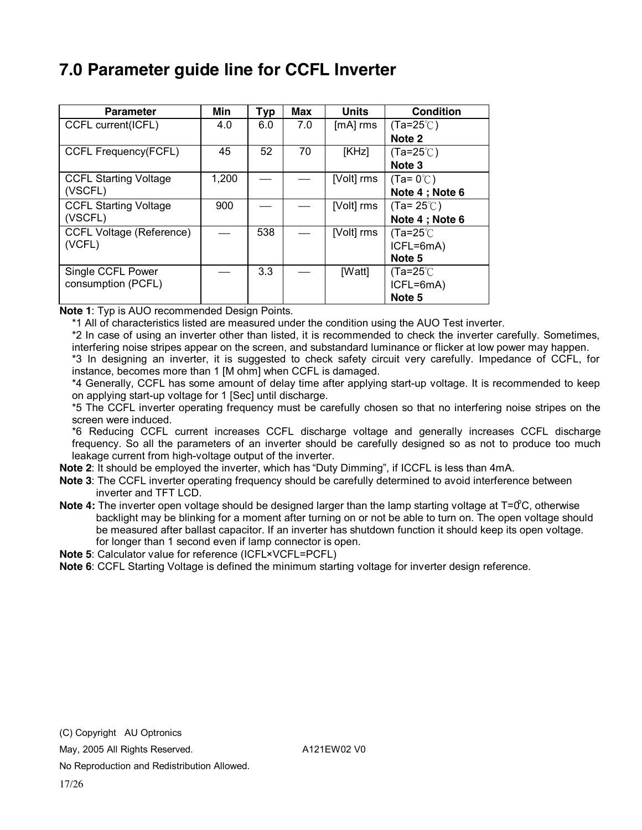## **7.0 Parameter guide line for CCFL Inverter**

| <b>Parameter</b>                | Min   | Typ | Max | <b>Units</b> | <b>Condition</b>    |
|---------------------------------|-------|-----|-----|--------------|---------------------|
| CCFL current(ICFL)              | 4.0   | 6.0 | 7.0 | $[mA]$ rms   | (Ta=25℃)            |
|                                 |       |     |     |              | Note 2              |
| <b>CCFL Frequency(FCFL)</b>     | 45    | 52  | 70  | [KHz]        | (Ta=25℃)            |
|                                 |       |     |     |              | Note 3              |
| <b>CCFL Starting Voltage</b>    | 1,200 |     |     | [Volt] rms   | $(Ta=0^{\circ}C)$   |
| (VSCFL)                         |       |     |     |              | Note 4; Note 6      |
| <b>CCFL Starting Voltage</b>    | 900   |     |     | [Volt] rms   | $(Ta=25^{\circ}$ C) |
| (VSCFL)                         |       |     |     |              | Note 4; Note 6      |
| <b>CCFL Voltage (Reference)</b> |       | 538 |     | [Volt] rms   | (Ta=25℃             |
| (VCFL)                          |       |     |     |              | ICFL=6mA)           |
|                                 |       |     |     |              | Note 5              |
| Single CCFL Power               |       | 3.3 |     | [Watt]       | (Ta=25 $\degree$ C  |
| consumption (PCFL)              |       |     |     |              | ICFL=6mA)           |
|                                 |       |     |     |              | Note 5              |

**Note 1**: Typ is AUO recommended Design Points.

\*1 All of characteristics listed are measured under the condition using the AUO Test inverter.

\*2 In case of using an inverter other than listed, it is recommended to check the inverter carefully. Sometimes, interfering noise stripes appear on the screen, and substandard luminance or flicker at low power may happen.

\*3 In designing an inverter, it is suggested to check safety circuit very carefully. Impedance of CCFL, for instance, becomes more than 1 [M ohm] when CCFL is damaged.

\*4 Generally, CCFL has some amount of delay time after applying start-up voltage. It is recommended to keep on applying start-up voltage for 1 [Sec] until discharge.

\*5 The CCFL inverter operating frequency must be carefully chosen so that no interfering noise stripes on the screen were induced.

\*6 Reducing CCFL current increases CCFL discharge voltage and generally increases CCFL discharge frequency. So all the parameters of an inverter should be carefully designed so as not to produce too much leakage current from high-voltage output of the inverter.

**Note 2**: It should be employed the inverter, which has "Duty Dimming", if ICCFL is less than 4mA.

**Note 3**: The CCFL inverter operating frequency should be carefully determined to avoid interference between inverter and TFT LCD.

Note 4: The inverter open voltage should be designed larger than the lamp starting voltage at T=0°C, otherwise backlight may be blinking for a moment after turning on or not be able to turn on. The open voltage should be measured after ballast capacitor. If an inverter has shutdown function it should keep its open voltage. for longer than 1 second even if lamp connector is open.

**Note 5**: Calculator value for reference (ICFL×VCFL=PCFL)

**Note 6**: CCFL Starting Voltage is defined the minimum starting voltage for inverter design reference.

May, 2005 All Rights Reserved. A121EW02 V0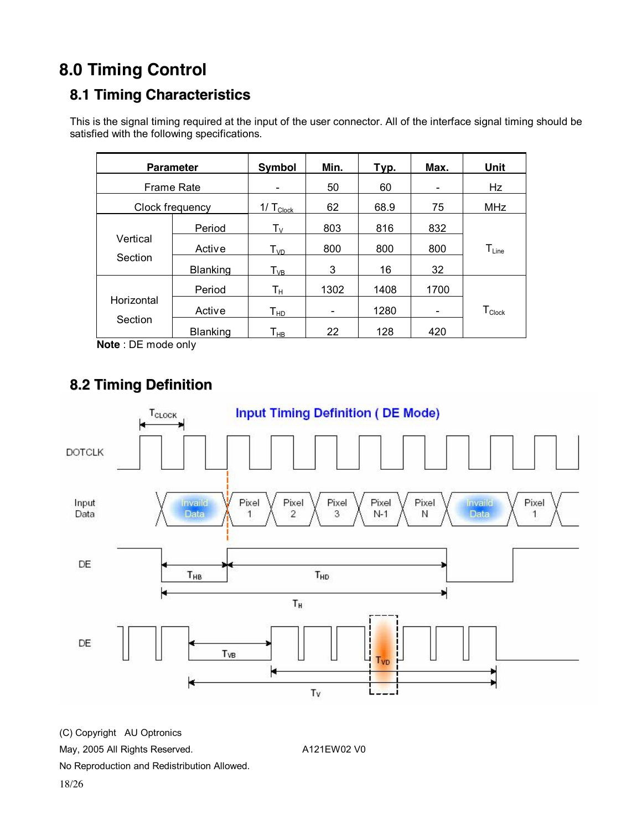# **8.0 Timing Control**

### **8.1 Timing Characteristics**

This is the signal timing required at the input of the user connector. All of the interface signal timing should be satisfied with the following specifications.

|                     | <b>Parameter</b> | Symbol                      | Min. | Typ. | Max.                         | Unit                         |
|---------------------|------------------|-----------------------------|------|------|------------------------------|------------------------------|
| <b>Frame Rate</b>   |                  |                             | 50   | 60   | $\qquad \qquad \blacksquare$ | Hz                           |
|                     | Clock frequency  | 1/ $T_{\text{Clock}}$       | 62   | 68.9 | 75                           | MHz                          |
| Vertical<br>Section | Period           | $T_{V}$                     | 803  | 816  | 832                          |                              |
|                     | Active           | $T_{VD}$                    | 800  | 800  | 800                          | $\mathsf{T}_{\mathsf{Line}}$ |
|                     | Blanking         | $T_{VB}$                    | 3    | 16   | 32                           |                              |
| Horizontal          | Period           | Tн                          | 1302 | 1408 | 1700                         |                              |
|                     | Active           | ${\mathsf T}_{\mathsf{HD}}$ |      | 1280 |                              | $T_{\text{Clock}}$           |
| Section             | Blanking         | Т <sub>нв</sub>             | 22   | 128  | 420                          |                              |

**Note** : DE mode only

### **8.2 Timing Definition**



(C) Copyright AU Optronics

May, 2005 All Rights Reserved. A121EW02 V0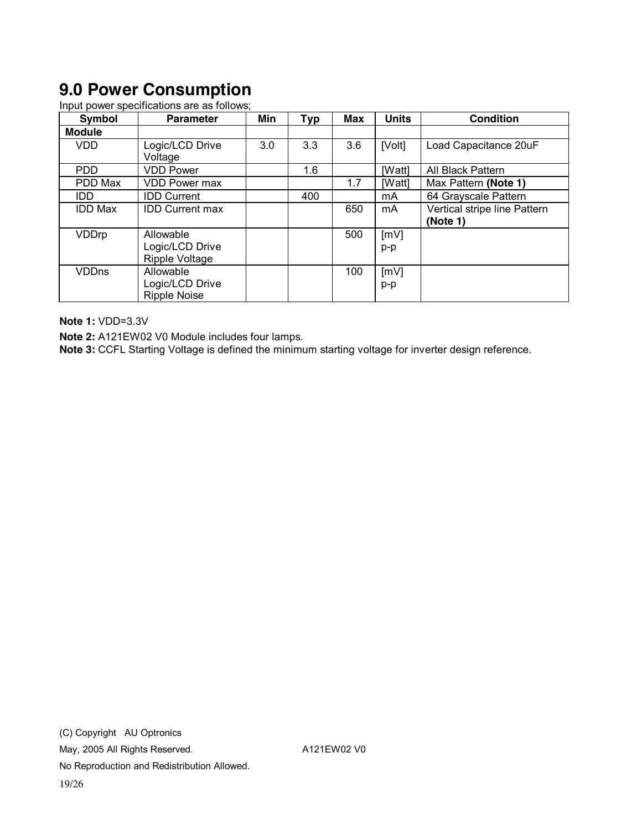# **9.0 Power Consumption**

Input power specifications are as follows;

| Symbol         | <b>Parameter</b>       | Min | <b>Typ</b> | Max | <b>Units</b> | <b>Condition</b>             |
|----------------|------------------------|-----|------------|-----|--------------|------------------------------|
| <b>Module</b>  |                        |     |            |     |              |                              |
| <b>VDD</b>     | Logic/LCD Drive        | 3.0 | 3.3        | 3.6 | [Volt]       | Load Capacitance 20uF        |
|                | Voltage                |     |            |     |              |                              |
| <b>PDD</b>     | <b>VDD Power</b>       |     | 1.6        |     | [Watt]       | All Black Pattern            |
| PDD Max        | <b>VDD Power max</b>   |     |            | 1.7 | [Watt]       | Max Pattern (Note 1)         |
| IDD.           | <b>IDD Current</b>     |     | 400        |     | mA           | 64 Grayscale Pattern         |
| <b>IDD Max</b> | <b>IDD Current max</b> |     |            | 650 | mA           | Vertical stripe line Pattern |
|                |                        |     |            |     |              | (Note 1)                     |
| VDDrp          | Allowable              |     |            | 500 | [mV]         |                              |
|                | Logic/LCD Drive        |     |            |     | p-p          |                              |
|                | Ripple Voltage         |     |            |     |              |                              |
| <b>VDDns</b>   | Allowable              |     |            | 100 | [mV]         |                              |
|                | Logic/LCD Drive        |     |            |     | p-p          |                              |
|                | <b>Ripple Noise</b>    |     |            |     |              |                              |

**Note 1:** VDD=3.3V

**Note 2:** A121EW02 V0 Module includes four lamps.

**Note 3:** CCFL Starting Voltage is defined the minimum starting voltage for inverter design reference.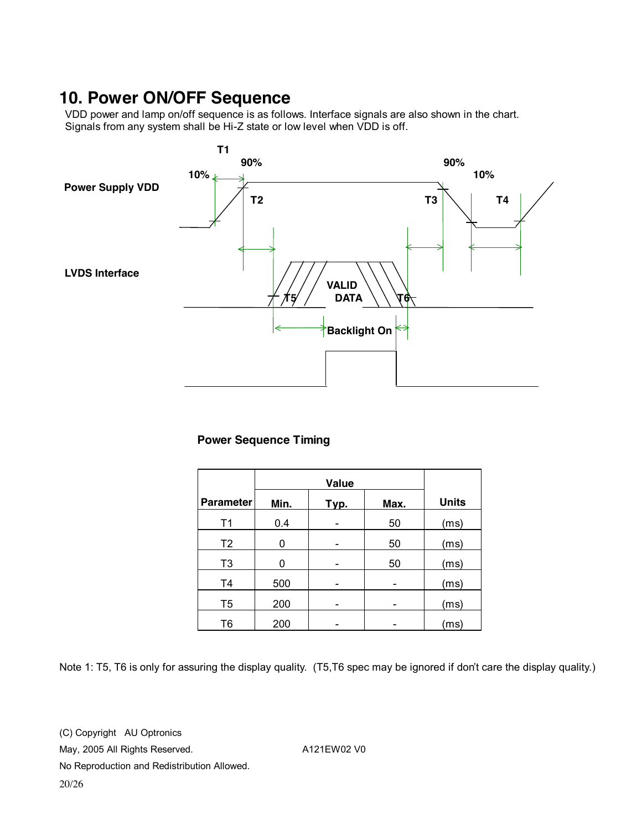### **10. Power ON/OFF Sequence**

VDD power and lamp on/off sequence is as follows. Interface signals are also shown in the chart. Signals from any system shall be Hi-Z state or low level when VDD is off.



#### **Power Sequence Timing**

| <b>Parameter</b> | Min. | Typ. | Max. | <b>Units</b> |
|------------------|------|------|------|--------------|
| T <sub>1</sub>   | 0.4  |      | 50   | (ms)         |
| T <sub>2</sub>   | 0    |      | 50   | (ms)         |
| T <sub>3</sub>   | ŋ    |      | 50   | (ms)         |
| T <sub>4</sub>   | 500  |      |      | (ms)         |
| T <sub>5</sub>   | 200  |      |      | (ms)         |
| T <sub>6</sub>   | 200  |      |      | (ms)         |

Note 1: T5, T6 is only for assuring the display quality. (T5,T6 spec may be ignored if don't care the display quality.)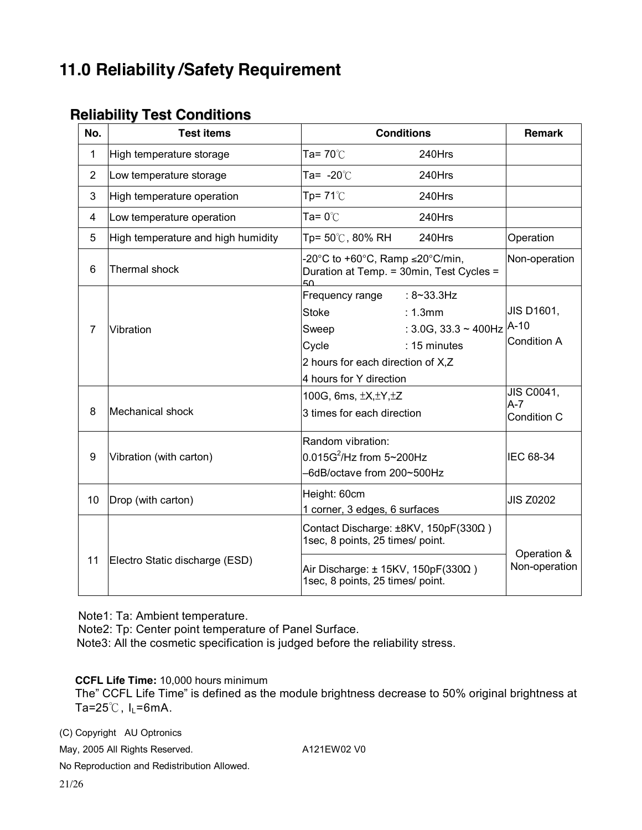# **11.0 Reliability /Safety Requirement**

#### **Reliability Test Conditions**

| No.            | <b>Test items</b>                  |                                                                                         | <b>Conditions</b>                 | <b>Remark</b>    |
|----------------|------------------------------------|-----------------------------------------------------------------------------------------|-----------------------------------|------------------|
| 1              | High temperature storage           | Ta= $70^{\circ}$ C                                                                      | 240Hrs                            |                  |
| $\overline{2}$ | Low temperature storage            | Ta= $-20^{\circ}$ C                                                                     | 240Hrs                            |                  |
| 3              | High temperature operation         | Tp= $71^{\circ}$ C                                                                      | 240Hrs                            |                  |
| 4              | Low temperature operation          | Ta= $0^{\circ}$ C                                                                       | 240Hrs                            |                  |
| 5              | High temperature and high humidity | Tp= 50℃, 80% RH                                                                         | 240Hrs                            | Operation        |
| 6              | Thermal shock                      | -20°C to +60°C, Ramp $\leq$ 20°C/min,<br>Duration at Temp. = 30min, Test Cycles =<br>50 |                                   | Non-operation    |
|                |                                    | Frequency range                                                                         | $: 8 - 33.3$ Hz                   |                  |
|                |                                    | Stoke                                                                                   | : 1.3mm                           | JIS D1601,       |
| $\overline{7}$ | Vibration                          | Sweep                                                                                   | : 3.0G, 33.3 ~ 400Hz $\vert$ A-10 |                  |
|                |                                    | Cycle                                                                                   | : 15 minutes                      | Condition A      |
|                |                                    | 2 hours for each direction of X,Z                                                       |                                   |                  |
|                |                                    | 4 hours for Y direction                                                                 |                                   |                  |
|                |                                    | 100G, 6ms, $\pm X, \pm Y, \pm Z$                                                        | JIS C0041,<br>$A-7$               |                  |
| 8              | Mechanical shock                   | 3 times for each direction                                                              |                                   | Condition C      |
|                |                                    | Random vibration:                                                                       |                                   |                  |
| 9              | Vibration (with carton)            | $0.015G^2$ /Hz from 5~200Hz                                                             |                                   | IEC 68-34        |
|                |                                    | -6dB/octave from 200~500Hz                                                              |                                   |                  |
|                | Drop (with carton)                 | Height: 60cm                                                                            |                                   | <b>JIS Z0202</b> |
|                |                                    | 1 corner, 3 edges, 6 surfaces                                                           |                                   |                  |
|                |                                    | Contact Discharge: ±8KV, 150pF(330Ω)<br>1sec, 8 points, 25 times/ point.                |                                   |                  |
| 10<br>11       | Electro Static discharge (ESD)     | Air Discharge: $\pm$ 15KV, 150pF(330 $\Omega$ )<br>1sec, 8 points, 25 times/ point.     | Operation &<br>Non-operation      |                  |

Note1: Ta: Ambient temperature.

Note2: Tp: Center point temperature of Panel Surface.

Note3: All the cosmetic specification is judged before the reliability stress.

**CCFL Life Time:** 10,000 hours minimum

The" CCFL Life Time" is defined as the module brightness decrease to 50% original brightness at Ta= $25^{\circ}$ C, I<sub>L</sub>=6mA.

(C) Copyright AU Optronics

May, 2005 All Rights Reserved. A121EW02 V0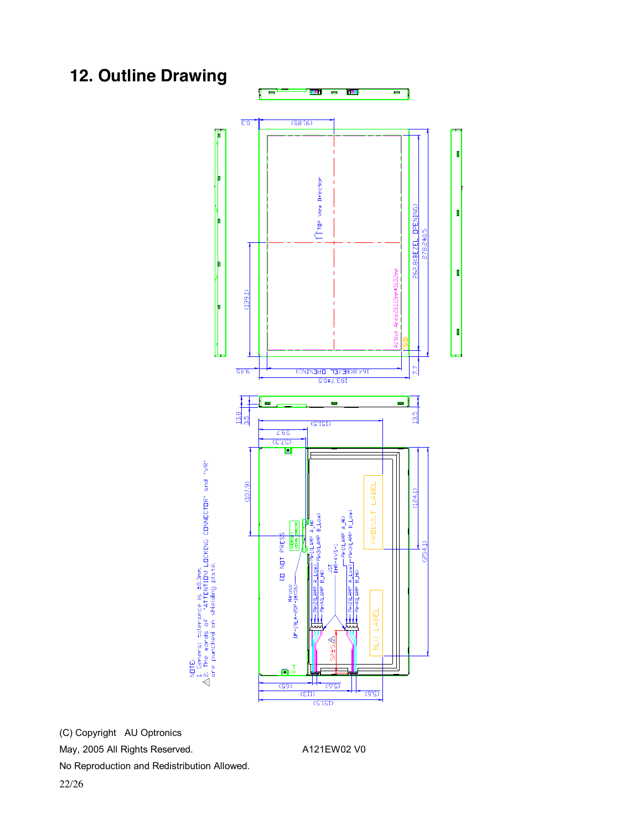# **12. Outline Drawing**

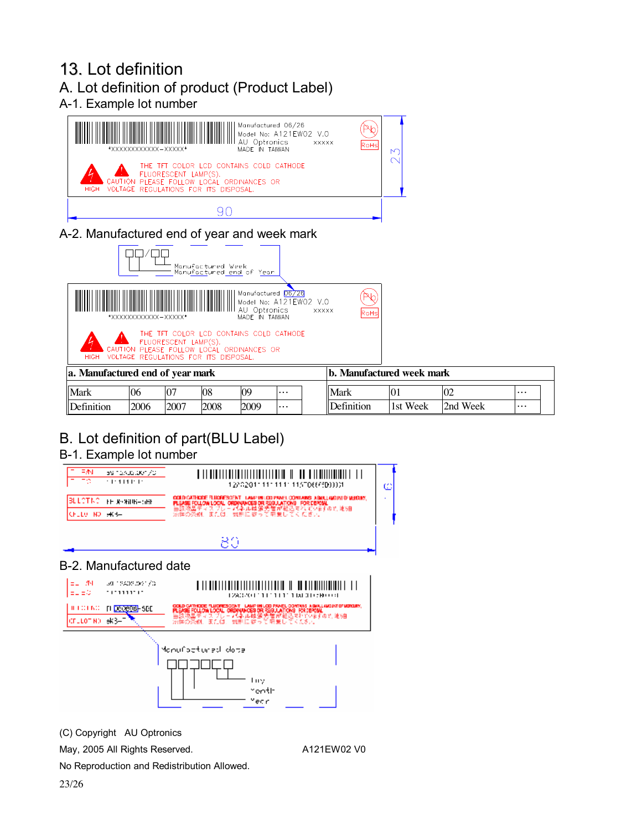#### 13. Lot definition A. Lot definition of product (Product Label) A-1. Example lot number



A-2. Manufactured end of year and week mark



| a. Manufactured end of vear mark |      |                |      |      | . Manufactured week mark<br>$1$ |                     |          |                |   |  |
|----------------------------------|------|----------------|------|------|---------------------------------|---------------------|----------|----------------|---|--|
| Mark                             | 106  | $\overline{0}$ | 08   | 09   | $\cdots$                        | <b>Mark</b>         | 10.      | 0 <sub>2</sub> | . |  |
| Definition                       | 2006 | 2007           | 2008 | 2009 | $\cdots$                        | <b>ID</b> efinition | 1st Week | 2nd Week       | . |  |

## B. Lot definition of part(BLU Label)

#### B-1. Example lot number



#### B-2. Manufactured date



(C) Copyright AU Optronics

May, 2005 All Rights Reserved. A121EW02 V0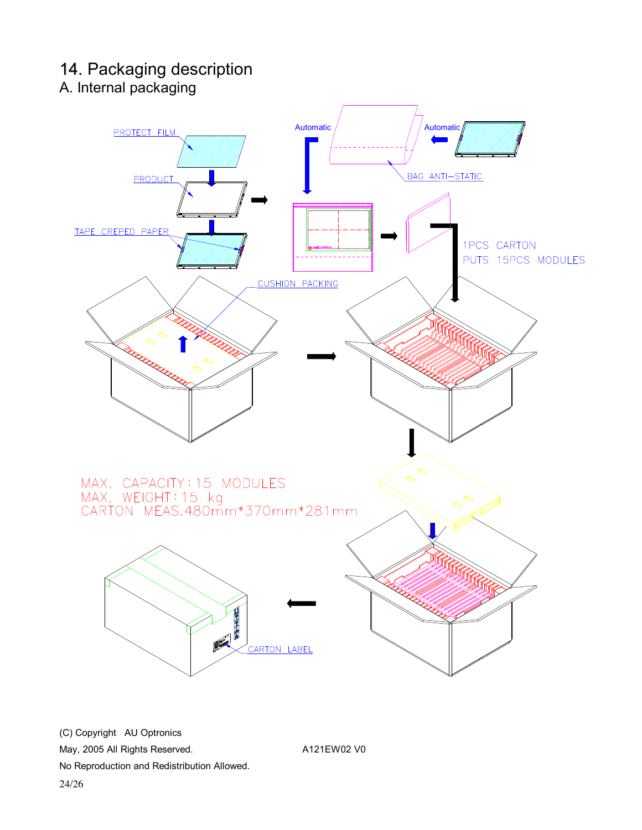### 14. Packaging description A. Internal packaging

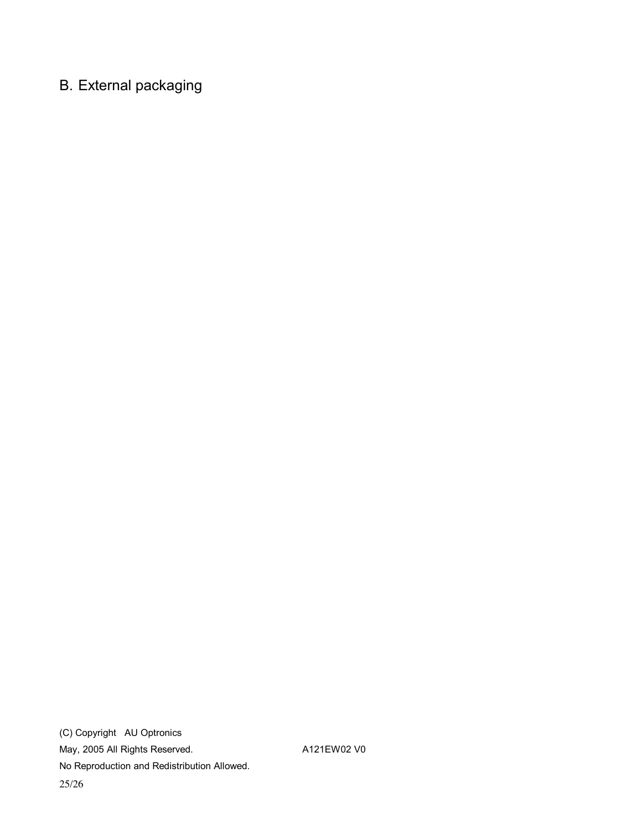# B. External packaging